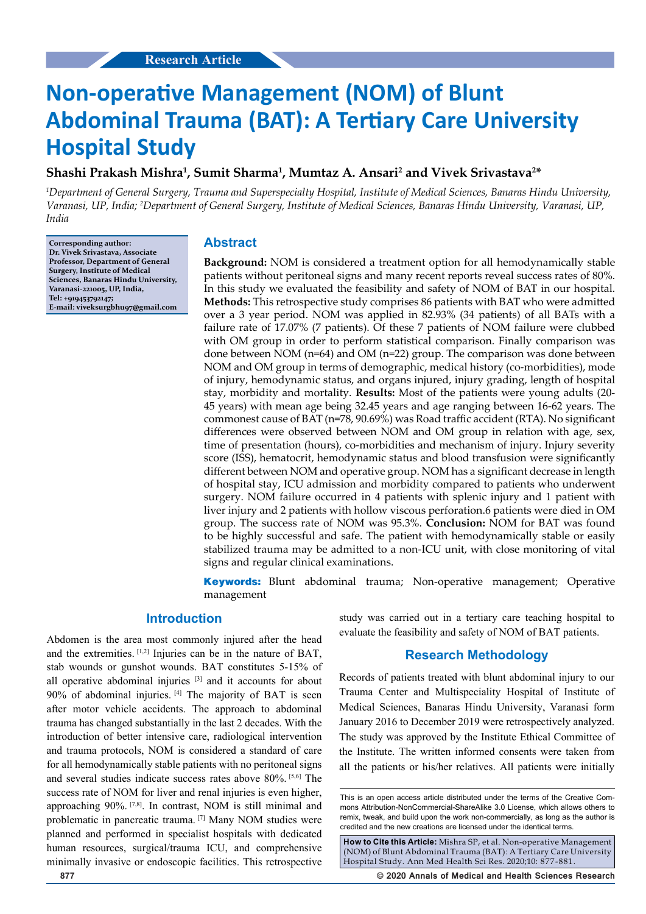# **Non-operative Management (NOM) of Blunt Abdominal Trauma (BAT): A Tertiary Care University Hospital Study**

## Shashi Prakash Mishra<sup>1</sup>, Sumit Sharma<sup>1</sup>, Mumtaz A. Ansari<sup>2</sup> and Vivek Srivastava<sup>2\*</sup>

*1 Department of General Surgery, Trauma and Superspecialty Hospital, Institute of Medical Sciences, Banaras Hindu University, Varanasi, UP, India; 2 Department of General Surgery, Institute of Medical Sciences, Banaras Hindu University, Varanasi, UP, India*

**Corresponding author: Dr. Vivek Srivastava, Associate Professor, Department of General Surgery, Institute of Medical Sciences, Banaras Hindu University, Varanasi-221005, UP, India, Tel: +919453792147; E-mail: viveksurgbhu97@gmail.com**

## **Abstract**

**Background:** NOM is considered a treatment option for all hemodynamically stable patients without peritoneal signs and many recent reports reveal success rates of 80%. In this study we evaluated the feasibility and safety of NOM of BAT in our hospital. **Methods:** This retrospective study comprises 86 patients with BAT who were admitted over a 3 year period. NOM was applied in 82.93% (34 patients) of all BATs with a failure rate of 17.07% (7 patients). Of these 7 patients of NOM failure were clubbed with OM group in order to perform statistical comparison. Finally comparison was done between NOM (n=64) and OM (n=22) group. The comparison was done between NOM and OM group in terms of demographic, medical history (co-morbidities), mode of injury, hemodynamic status, and organs injured, injury grading, length of hospital stay, morbidity and mortality. **Results:** Most of the patients were young adults (20- 45 years) with mean age being 32.45 years and age ranging between 16-62 years. The commonest cause of BAT (n=78, 90.69%) was Road traffic accident (RTA). No significant differences were observed between NOM and OM group in relation with age, sex, time of presentation (hours), co-morbidities and mechanism of injury. Injury severity score (ISS), hematocrit, hemodynamic status and blood transfusion were significantly different between NOM and operative group. NOM has a significant decrease in length of hospital stay, ICU admission and morbidity compared to patients who underwent surgery. NOM failure occurred in 4 patients with splenic injury and 1 patient with liver injury and 2 patients with hollow viscous perforation.6 patients were died in OM group. The success rate of NOM was 95.3%. **Conclusion:** NOM for BAT was found to be highly successful and safe. The patient with hemodynamically stable or easily stabilized trauma may be admitted to a non-ICU unit, with close monitoring of vital signs and regular clinical examinations.

**Keywords:** Blunt abdominal trauma; Non-operative management; Operative management

## **Introduction**

Abdomen is the area most commonly injured after the head and the extremities. [1,2] Injuries can be in the nature of BAT, stab wounds or gunshot wounds. BAT constitutes 5-15% of all operative abdominal injuries [3] and it accounts for about  $90\%$  of abdominal injuries.  $[4]$  The majority of BAT is seen after motor vehicle accidents. The approach to abdominal trauma has changed substantially in the last 2 decades. With the introduction of better intensive care, radiological intervention and trauma protocols, NOM is considered a standard of care for all hemodynamically stable patients with no peritoneal signs and several studies indicate success rates above 80%. [5,6] The success rate of NOM for liver and renal injuries is even higher, approaching 90%. <a>[7,8]</a>. In contrast, NOM is still minimal and problematic in pancreatic trauma. [7] Many NOM studies were planned and performed in specialist hospitals with dedicated human resources, surgical/trauma ICU, and comprehensive minimally invasive or endoscopic facilities. This retrospective study was carried out in a tertiary care teaching hospital to evaluate the feasibility and safety of NOM of BAT patients.

### **Research Methodology**

Records of patients treated with blunt abdominal injury to our Trauma Center and Multispeciality Hospital of Institute of Medical Sciences, Banaras Hindu University, Varanasi form January 2016 to December 2019 were retrospectively analyzed. The study was approved by the Institute Ethical Committee of the Institute. The written informed consents were taken from all the patients or his/her relatives. All patients were initially

**How to Cite this Article:** Mishra SP, et al. Non-operative Management (NOM) of Blunt Abdominal Trauma (BAT): A Tertiary Care University Hospital Study. Ann Med Health Sci Res. 2020;10: 877-881.

**877 © 2020 Annals of Medical and Health Sciences Research** 

This is an open access article distributed under the terms of the Creative Commons Attribution‑NonCommercial‑ShareAlike 3.0 License, which allows others to remix, tweak, and build upon the work non‑commercially, as long as the author is credited and the new creations are licensed under the identical terms.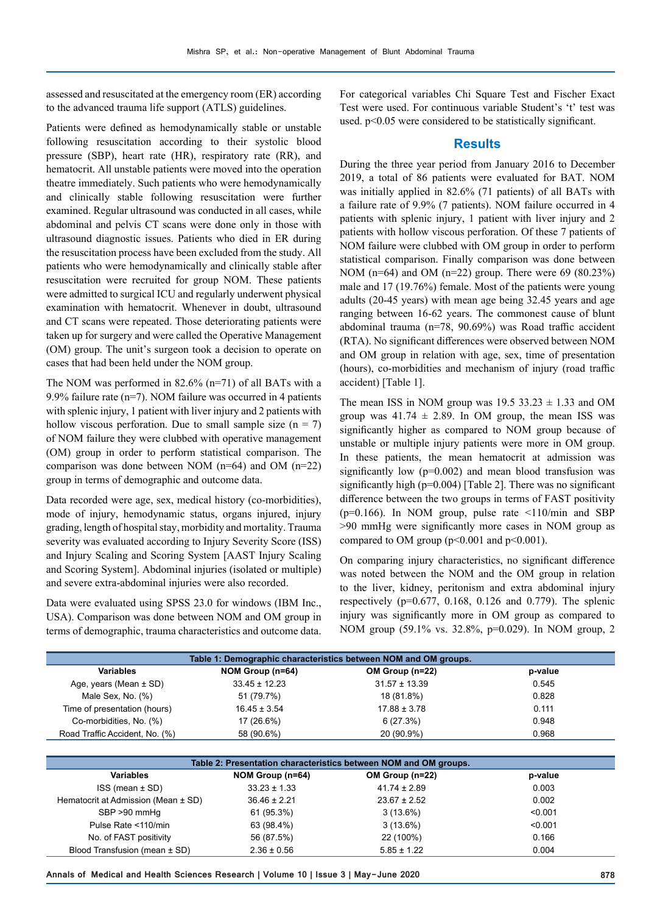assessed and resuscitated at the emergency room (ER) according to the advanced trauma life support (ATLS) guidelines.

Patients were defined as hemodynamically stable or unstable following resuscitation according to their systolic blood pressure (SBP), heart rate (HR), respiratory rate (RR), and hematocrit. All unstable patients were moved into the operation theatre immediately. Such patients who were hemodynamically and clinically stable following resuscitation were further examined. Regular ultrasound was conducted in all cases, while abdominal and pelvis CT scans were done only in those with ultrasound diagnostic issues. Patients who died in ER during the resuscitation process have been excluded from the study. All patients who were hemodynamically and clinically stable after resuscitation were recruited for group NOM. These patients were admitted to surgical ICU and regularly underwent physical examination with hematocrit. Whenever in doubt, ultrasound and CT scans were repeated. Those deteriorating patients were taken up for surgery and were called the Operative Management (OM) group. The unit's surgeon took a decision to operate on cases that had been held under the NOM group.

The NOM was performed in 82.6% (n=71) of all BATs with a 9.9% failure rate (n=7). NOM failure was occurred in 4 patients with splenic injury, 1 patient with liver injury and 2 patients with hollow viscous perforation. Due to small sample size  $(n = 7)$ of NOM failure they were clubbed with operative management (OM) group in order to perform statistical comparison. The comparison was done between NOM  $(n=64)$  and OM  $(n=22)$ group in terms of demographic and outcome data.

Data recorded were age, sex, medical history (co-morbidities), mode of injury, hemodynamic status, organs injured, injury grading, length of hospital stay, morbidity and mortality. Trauma severity was evaluated according to Injury Severity Score (ISS) and Injury Scaling and Scoring System [AAST Injury Scaling and Scoring System]. Abdominal injuries (isolated or multiple) and severe extra-abdominal injuries were also recorded.

Data were evaluated using SPSS 23.0 for windows (IBM Inc., USA). Comparison was done between NOM and OM group in terms of demographic, trauma characteristics and outcome data.

For categorical variables Chi Square Test and Fischer Exact Test were used. For continuous variable Student's 't' test was used. p<0.05 were considered to be statistically significant.

#### **Results**

During the three year period from January 2016 to December 2019, a total of 86 patients were evaluated for BAT. NOM was initially applied in 82.6% (71 patients) of all BATs with a failure rate of 9.9% (7 patients). NOM failure occurred in 4 patients with splenic injury, 1 patient with liver injury and 2 patients with hollow viscous perforation. Of these 7 patients of NOM failure were clubbed with OM group in order to perform statistical comparison. Finally comparison was done between NOM (n=64) and OM (n=22) group. There were 69 (80.23%) male and 17 (19.76%) female. Most of the patients were young adults (20-45 years) with mean age being 32.45 years and age ranging between 16-62 years. The commonest cause of blunt abdominal trauma (n=78, 90.69%) was Road traffic accident (RTA). No significant differences were observed between NOM and OM group in relation with age, sex, time of presentation (hours), co-morbidities and mechanism of injury (road traffic accident) [Table 1].

The mean ISS in NOM group was  $19.5 \, 33.23 \pm 1.33$  and OM group was  $41.74 \pm 2.89$ . In OM group, the mean ISS was significantly higher as compared to NOM group because of unstable or multiple injury patients were more in OM group. In these patients, the mean hematocrit at admission was significantly low  $(p=0.002)$  and mean blood transfusion was significantly high ( $p=0.004$ ) [Table 2]. There was no significant difference between the two groups in terms of FAST positivity ( $p=0.166$ ). In NOM group, pulse rate <110/min and SBP >90 mmHg were significantly more cases in NOM group as compared to OM group ( $p<0.001$  and  $p<0.001$ ).

On comparing injury characteristics, no significant difference was noted between the NOM and the OM group in relation to the liver, kidney, peritonism and extra abdominal injury respectively ( $p=0.677$ , 0.168, 0.126 and 0.779). The splenic injury was significantly more in OM group as compared to NOM group (59.1% vs. 32.8%, p=0.029). In NOM group, 2

| Table 1: Demographic characteristics between NOM and OM groups. |                   |                   |         |  |  |
|-----------------------------------------------------------------|-------------------|-------------------|---------|--|--|
| <b>Variables</b>                                                | NOM Group (n=64)  | OM Group (n=22)   | p-value |  |  |
| Age, years (Mean $\pm$ SD)                                      | $33.45 \pm 12.23$ | $31.57 \pm 13.39$ | 0.545   |  |  |
| Male Sex, No. (%)                                               | 51 (79.7%)        | 18 (81.8%)        | 0.828   |  |  |
| Time of presentation (hours)                                    | $16.45 \pm 3.54$  | $17.88 \pm 3.78$  | 0.111   |  |  |
| Co-morbidities, No. (%)                                         | 17 (26.6%)        | 6(27.3%)          | 0.948   |  |  |
| Road Traffic Accident, No. (%)                                  | 58 (90.6%)        | 20 (90.9%)        | 0.968   |  |  |

| Table 2: Presentation characteristics between NOM and OM groups. |                  |                  |         |  |  |
|------------------------------------------------------------------|------------------|------------------|---------|--|--|
| <b>Variables</b>                                                 | NOM Group (n=64) | OM Group (n=22)  | p-value |  |  |
| ISS (mean ± SD)                                                  | $33.23 \pm 1.33$ | $41.74 \pm 2.89$ | 0.003   |  |  |
| Hematocrit at Admission (Mean ± SD)                              | $36.46 \pm 2.21$ | $23.67 \pm 2.52$ | 0.002   |  |  |
| SBP >90 mmHq                                                     | 61 (95.3%)       | $3(13.6\%)$      | < 0.001 |  |  |
| Pulse Rate <110/min                                              | 63 (98.4%)       | $3(13.6\%)$      | < 0.001 |  |  |
| No. of FAST positivity                                           | 56 (87.5%)       | 22 (100%)        | 0.166   |  |  |
| Blood Transfusion (mean ± SD)                                    | $2.36 \pm 0.56$  | $5.85 \pm 1.22$  | 0.004   |  |  |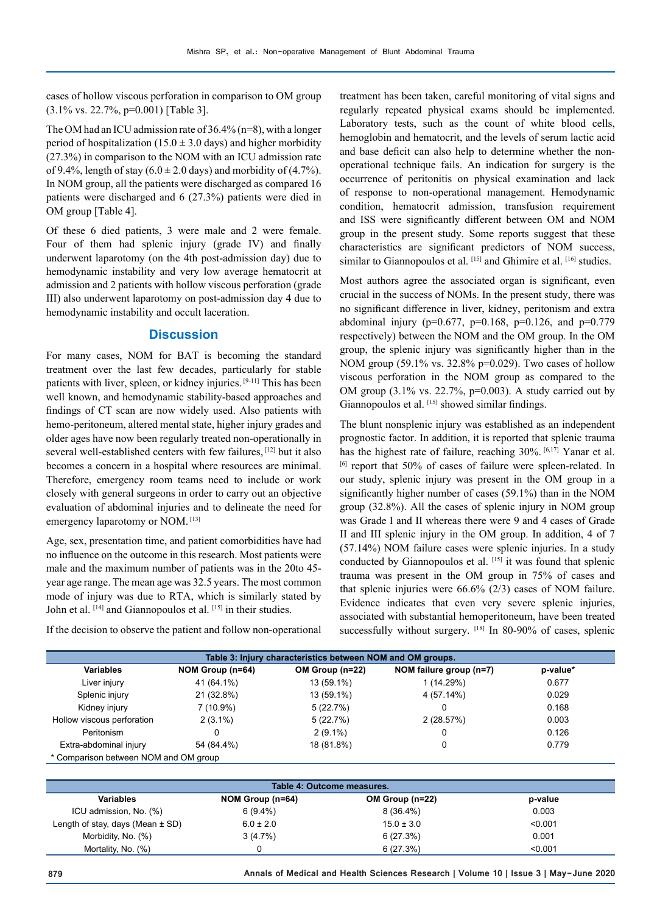cases of hollow viscous perforation in comparison to OM group (3.1% vs. 22.7%, p=0.001) [Table 3].

The OM had an ICU admission rate of 36.4% (n=8), with a longer period of hospitalization (15.0  $\pm$  3.0 days) and higher morbidity (27.3%) in comparison to the NOM with an ICU admission rate of 9.4%, length of stay  $(6.0 \pm 2.0$  days) and morbidity of  $(4.7\%)$ . In NOM group, all the patients were discharged as compared 16 patients were discharged and 6 (27.3%) patients were died in OM group [Table 4].

Of these 6 died patients, 3 were male and 2 were female. Four of them had splenic injury (grade IV) and finally underwent laparotomy (on the 4th post-admission day) due to hemodynamic instability and very low average hematocrit at admission and 2 patients with hollow viscous perforation (grade III) also underwent laparotomy on post-admission day 4 due to hemodynamic instability and occult laceration.

#### **Discussion**

For many cases, NOM for BAT is becoming the standard treatment over the last few decades, particularly for stable patients with liver, spleen, or kidney injuries. [9-11] This has been well known, and hemodynamic stability-based approaches and findings of CT scan are now widely used. Also patients with hemo-peritoneum, altered mental state, higher injury grades and older ages have now been regularly treated non-operationally in several well-established centers with few failures, <a>[12]</a> but it also becomes a concern in a hospital where resources are minimal. Therefore, emergency room teams need to include or work closely with general surgeons in order to carry out an objective evaluation of abdominal injuries and to delineate the need for emergency laparotomy or NOM. [13]

Age, sex, presentation time, and patient comorbidities have had no influence on the outcome in this research. Most patients were male and the maximum number of patients was in the 20to 45 year age range. The mean age was 32.5 years. The most common mode of injury was due to RTA, which is similarly stated by John et al. [14] and Giannopoulos et al. [15] in their studies.

If the decision to observe the patient and follow non-operational

treatment has been taken, careful monitoring of vital signs and regularly repeated physical exams should be implemented. Laboratory tests, such as the count of white blood cells, hemoglobin and hematocrit, and the levels of serum lactic acid and base deficit can also help to determine whether the nonoperational technique fails. An indication for surgery is the occurrence of peritonitis on physical examination and lack of response to non-operational management. Hemodynamic condition, hematocrit admission, transfusion requirement and ISS were significantly different between OM and NOM group in the present study. Some reports suggest that these characteristics are significant predictors of NOM success, similar to Giannopoulos et al. [15] and Ghimire et al. [16] studies.

Most authors agree the associated organ is significant, even crucial in the success of NOMs. In the present study, there was no significant difference in liver, kidney, peritonism and extra abdominal injury ( $p=0.677$ ,  $p=0.168$ ,  $p=0.126$ , and  $p=0.779$ respectively) between the NOM and the OM group. In the OM group, the splenic injury was significantly higher than in the NOM group (59.1% vs. 32.8% p=0.029). Two cases of hollow viscous perforation in the NOM group as compared to the OM group (3.1% vs. 22.7%, p=0.003). A study carried out by Giannopoulos et al. [15] showed similar findings.

The blunt nonsplenic injury was established as an independent prognostic factor. In addition, it is reported that splenic trauma has the highest rate of failure, reaching 30%. [6,17] Yanar et al. [6] report that 50% of cases of failure were spleen-related. In our study, splenic injury was present in the OM group in a significantly higher number of cases (59.1%) than in the NOM group (32.8%). All the cases of splenic injury in NOM group was Grade I and II whereas there were 9 and 4 cases of Grade II and III splenic injury in the OM group. In addition, 4 of 7 (57.14%) NOM failure cases were splenic injuries. In a study conducted by Giannopoulos et al. [15] it was found that splenic trauma was present in the OM group in 75% of cases and that splenic injuries were 66.6% (2/3) cases of NOM failure. Evidence indicates that even very severe splenic injuries, associated with substantial hemoperitoneum, have been treated successfully without surgery. [18] In 80-90% of cases, splenic

| Table 3: Injury characteristics between NOM and OM groups. |                  |                 |                         |          |  |  |
|------------------------------------------------------------|------------------|-----------------|-------------------------|----------|--|--|
| <b>Variables</b>                                           | NOM Group (n=64) | OM Group (n=22) | NOM failure group (n=7) | p-value* |  |  |
| Liver injury                                               | 41 (64.1%)       | 13 (59.1%)      | 1 (14.29%)              | 0.677    |  |  |
| Splenic injury                                             | 21 (32.8%)       | 13 (59.1%)      | 4 (57.14%)              | 0.029    |  |  |
| Kidney injury                                              | $7(10.9\%)$      | 5(22.7%)        |                         | 0.168    |  |  |
| Hollow viscous perforation                                 | $2(3.1\%)$       | 5(22.7%)        | 2(28.57%)               | 0.003    |  |  |
| Peritonism                                                 | 0                | $2(9.1\%)$      | 0                       | 0.126    |  |  |
| Extra-abdominal injury                                     | 54 (84.4%)       | 18 (81.8%)      |                         | 0.779    |  |  |
| * Comparison between NOM and OM group                      |                  |                 |                         |          |  |  |

| Table 4: Outcome measures.           |                  |                 |         |  |  |  |
|--------------------------------------|------------------|-----------------|---------|--|--|--|
| <b>Variables</b>                     | NOM Group (n=64) | OM Group (n=22) | p-value |  |  |  |
| ICU admission, No. (%)               | $6(9.4\%)$       | $8(36.4\%)$     | 0.003   |  |  |  |
| Length of stay, days (Mean $\pm$ SD) | $6.0 \pm 2.0$    | $15.0 \pm 3.0$  | < 0.001 |  |  |  |
| Morbidity, No. (%)                   | 3(4.7%)          | 6(27.3%)        | 0.001   |  |  |  |
| Mortality, No. (%)                   |                  | 6(27.3%)        | < 0.001 |  |  |  |

**879 Annals of Medical and Health Sciences Research | Volume 10 | Issue 3 | May-June 2020**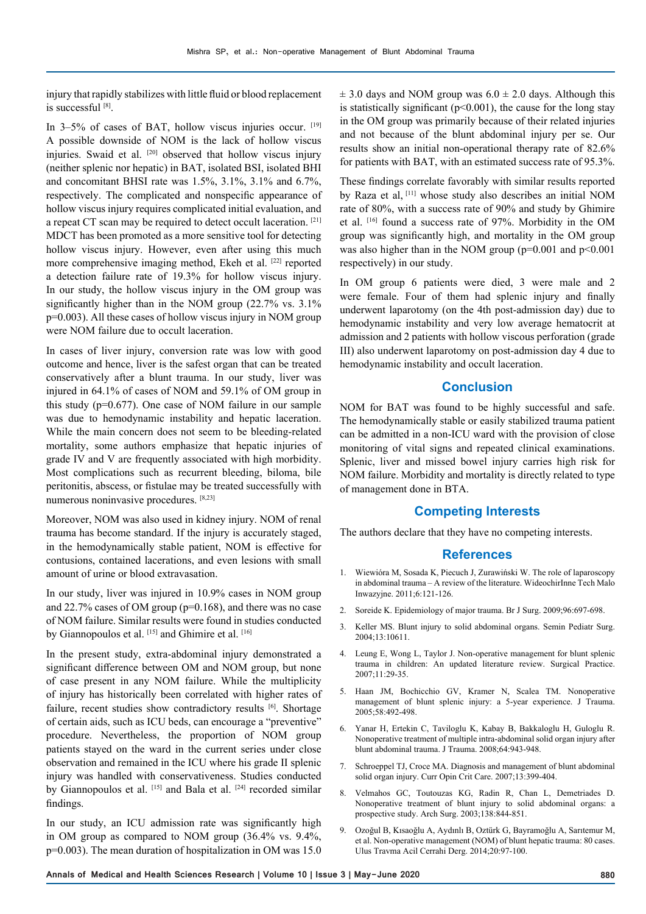injury that rapidly stabilizes with little fluid or blood replacement is successful [8].

In 3–5% of cases of BAT, hollow viscus injuries occur. [19] A possible downside of NOM is the lack of hollow viscus injuries. Swaid et al. [20] observed that hollow viscus injury (neither splenic nor hepatic) in BAT, isolated BSI, isolated BHI and concomitant BHSI rate was 1.5%, 3.1%, 3.1% and 6.7%, respectively. The complicated and nonspecific appearance of hollow viscus injury requires complicated initial evaluation, and a repeat CT scan may be required to detect occult laceration. [21] MDCT has been promoted as a more sensitive tool for detecting hollow viscus injury. However, even after using this much more comprehensive imaging method, Ekeh et al. [22] reported a detection failure rate of 19.3% for hollow viscus injury. In our study, the hollow viscus injury in the OM group was significantly higher than in the NOM group (22.7% vs. 3.1% p=0.003). All these cases of hollow viscus injury in NOM group were NOM failure due to occult laceration.

In cases of liver injury, conversion rate was low with good outcome and hence, liver is the safest organ that can be treated conservatively after a blunt trauma. In our study, liver was injured in 64.1% of cases of NOM and 59.1% of OM group in this study (p=0.677). One case of NOM failure in our sample was due to hemodynamic instability and hepatic laceration. While the main concern does not seem to be bleeding-related mortality, some authors emphasize that hepatic injuries of grade IV and V are frequently associated with high morbidity. Most complications such as recurrent bleeding, biloma, bile peritonitis, abscess, or fistulae may be treated successfully with numerous noninvasive procedures. [8,23]

Moreover, NOM was also used in kidney injury. NOM of renal trauma has become standard. If the injury is accurately staged, in the hemodynamically stable patient, NOM is effective for contusions, contained lacerations, and even lesions with small amount of urine or blood extravasation.

In our study, liver was injured in 10.9% cases in NOM group and 22.7% cases of OM group (p=0.168), and there was no case of NOM failure. Similar results were found in studies conducted by Giannopoulos et al. [15] and Ghimire et al. [16]

In the present study, extra-abdominal injury demonstrated a significant difference between OM and NOM group, but none of case present in any NOM failure. While the multiplicity of injury has historically been correlated with higher rates of failure, recent studies show contradictory results [6]. Shortage of certain aids, such as ICU beds, can encourage a "preventive" procedure. Nevertheless, the proportion of NOM group patients stayed on the ward in the current series under close observation and remained in the ICU where his grade II splenic injury was handled with conservativeness. Studies conducted by Giannopoulos et al. [15] and Bala et al. <sup>[24]</sup> recorded similar findings.

In our study, an ICU admission rate was significantly high in OM group as compared to NOM group (36.4% vs. 9.4%, p=0.003). The mean duration of hospitalization in OM was 15.0

 $\pm$  3.0 days and NOM group was 6.0  $\pm$  2.0 days. Although this is statistically significant ( $p<0.001$ ), the cause for the long stay in the OM group was primarily because of their related injuries and not because of the blunt abdominal injury per se. Our results show an initial non-operational therapy rate of 82.6% for patients with BAT, with an estimated success rate of 95.3%.

These findings correlate favorably with similar results reported by Raza et al, [11] whose study also describes an initial NOM rate of 80%, with a success rate of 90% and study by Ghimire et al. [16] found a success rate of 97%. Morbidity in the OM group was significantly high, and mortality in the OM group was also higher than in the NOM group ( $p=0.001$  and  $p<0.001$ ) respectively) in our study.

In OM group 6 patients were died, 3 were male and 2 were female. Four of them had splenic injury and finally underwent laparotomy (on the 4th post-admission day) due to hemodynamic instability and very low average hematocrit at admission and 2 patients with hollow viscous perforation (grade III) also underwent laparotomy on post-admission day 4 due to hemodynamic instability and occult laceration.

## **Conclusion**

NOM for BAT was found to be highly successful and safe. The hemodynamically stable or easily stabilized trauma patient can be admitted in a non-ICU ward with the provision of close monitoring of vital signs and repeated clinical examinations. Splenic, liver and missed bowel injury carries high risk for NOM failure. Morbidity and mortality is directly related to type of management done in BTA.

## **Competing Interests**

The authors declare that they have no competing interests.

#### **References**

- 1. Wiewióra M, Sosada K, Piecuch J, Zurawiński W. The role of laparoscopy in abdominal trauma – A review of the literature. WideochirInne Tech Malo Inwazyjne. 2011;6:121-126.
- 2. Soreide K. Epidemiology of major trauma. Br J Surg. 2009;96:697-698.
- 3. Keller MS. Blunt injury to solid abdominal organs. Semin Pediatr Surg. 2004;13:10611.
- 4. Leung E, Wong L, Taylor J. Non-operative management for blunt splenic trauma in children: An updated literature review. Surgical Practice. 2007;11:29-35.
- 5. Haan JM, Bochicchio GV, Kramer N, Scalea TM. Nonoperative management of blunt splenic injury: a 5-year experience. J Trauma. 2005;58:492-498.
- 6. Yanar H, Ertekin C, Taviloglu K, Kabay B, Bakkaloglu H, Guloglu R. Nonoperative treatment of multiple intra-abdominal solid organ injury after blunt abdominal trauma. J Trauma. 2008;64:943-948.
- 7. Schroeppel TJ, Croce MA. Diagnosis and management of blunt abdominal solid organ injury. Curr Opin Crit Care. 2007;13:399-404.
- 8. Velmahos GC, Toutouzas KG, Radin R, Chan L, Demetriades D. Nonoperative treatment of blunt injury to solid abdominal organs: a prospective study. Arch Surg. 2003;138:844-851.
- 9. Ozoğul B, Kısaoğlu A, Aydınlı B, Oztürk G, Bayramoğlu A, Sarıtemur M, et al. Non-operative management (NOM) of blunt hepatic trauma: 80 cases. Ulus Travma Acil Cerrahi Derg. 2014;20:97-100.